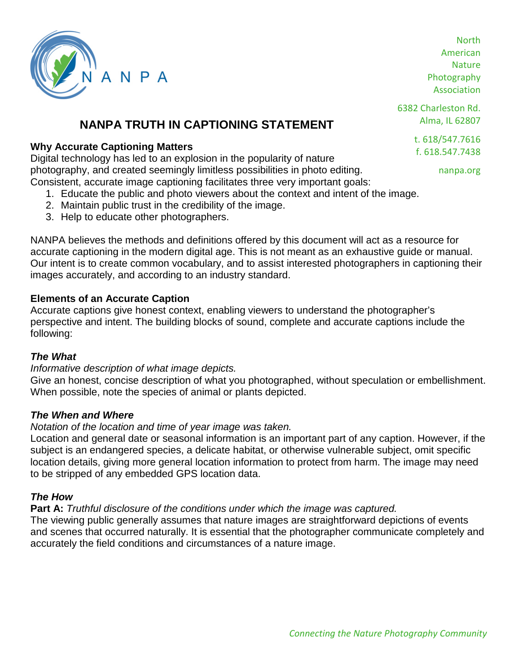

North American Nature Photography Association

# **NANPA TRUTH IN CAPTIONING STATEMENT**

### **Why Accurate Captioning Matters**

Digital technology has led to an explosion in the popularity of nature photography, and created seemingly limitless possibilities in photo editing. Consistent, accurate image captioning facilitates three very important goals:

- 1. Educate the public and photo viewers about the context and intent of the image.
- 2. Maintain public trust in the credibility of the image.
- 3. Help to educate other photographers.

NANPA believes the methods and definitions offered by this document will act as a resource for accurate captioning in the modern digital age. This is not meant as an exhaustive guide or manual. Our intent is to create common vocabulary, and to assist interested photographers in captioning their images accurately, and according to an industry standard.

### **Elements of an Accurate Caption**

Accurate captions give honest context, enabling viewers to understand the photographer's perspective and intent. The building blocks of sound, complete and accurate captions include the following:

#### *The What*

#### *Informative description of what image depicts.*

Give an honest, concise description of what you photographed, without speculation or embellishment. When possible, note the species of animal or plants depicted.

#### *The When and Where*

#### *Notation of the location and time of year image was taken.*

Location and general date or seasonal information is an important part of any caption. However, if the subject is an endangered species, a delicate habitat, or otherwise vulnerable subject, omit specific location details, giving more general location information to protect from harm. The image may need to be stripped of any embedded GPS location data.

### *The How*

### **Part A:** *Truthful disclosure of the conditions under which the image was captured.*

The viewing public generally assumes that nature images are straightforward depictions of events and scenes that occurred naturally. It is essential that the photographer communicate completely and accurately the field conditions and circumstances of a nature image.

Alma, IL 62807 t. 618/547.7616

6382 Charleston Rd.

f. 618.547.7438

nanpa.org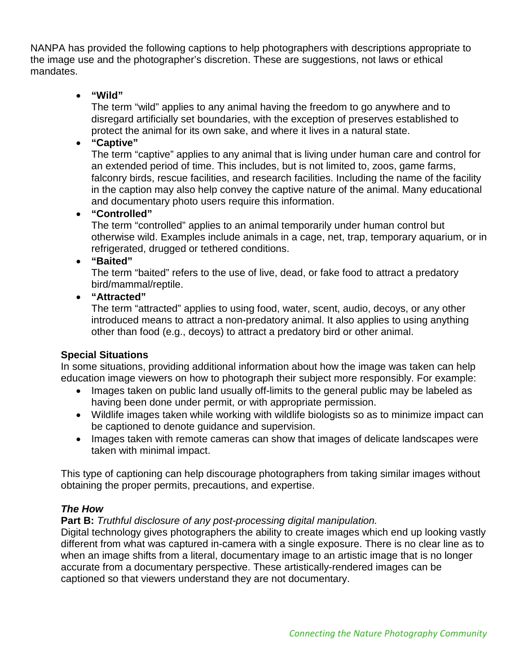NANPA has provided the following captions to help photographers with descriptions appropriate to the image use and the photographer's discretion. These are suggestions, not laws or ethical mandates.

# • **"Wild"**

The term "wild" applies to any animal having the freedom to go anywhere and to disregard artificially set boundaries, with the exception of preserves established to protect the animal for its own sake, and where it lives in a natural state.

# • **"Captive"**

The term "captive" applies to any animal that is living under human care and control for an extended period of time. This includes, but is not limited to, zoos, game farms, falconry birds, rescue facilities, and research facilities. Including the name of the facility in the caption may also help convey the captive nature of the animal. Many educational and documentary photo users require this information.

# • **"Controlled"**

The term "controlled" applies to an animal temporarily under human control but otherwise wild. Examples include animals in a cage, net, trap, temporary aquarium, or in refrigerated, drugged or tethered conditions.

# • **"Baited"**

The term "baited" refers to the use of live, dead, or fake food to attract a predatory bird/mammal/reptile.

# • **"Attracted"**

The term "attracted" applies to using food, water, scent, audio, decoys, or any other introduced means to attract a non-predatory animal. It also applies to using anything other than food (e.g., decoys) to attract a predatory bird or other animal.

# **Special Situations**

In some situations, providing additional information about how the image was taken can help education image viewers on how to photograph their subject more responsibly. For example:

- Images taken on public land usually off-limits to the general public may be labeled as having been done under permit, or with appropriate permission.
- Wildlife images taken while working with wildlife biologists so as to minimize impact can be captioned to denote guidance and supervision.
- Images taken with remote cameras can show that images of delicate landscapes were taken with minimal impact.

This type of captioning can help discourage photographers from taking similar images without obtaining the proper permits, precautions, and expertise.

# *The How*

# **Part B:** *Truthful disclosure of any post-processing digital manipulation.*

Digital technology gives photographers the ability to create images which end up looking vastly different from what was captured in-camera with a single exposure. There is no clear line as to when an image shifts from a literal, documentary image to an artistic image that is no longer accurate from a documentary perspective. These artistically-rendered images can be captioned so that viewers understand they are not documentary.